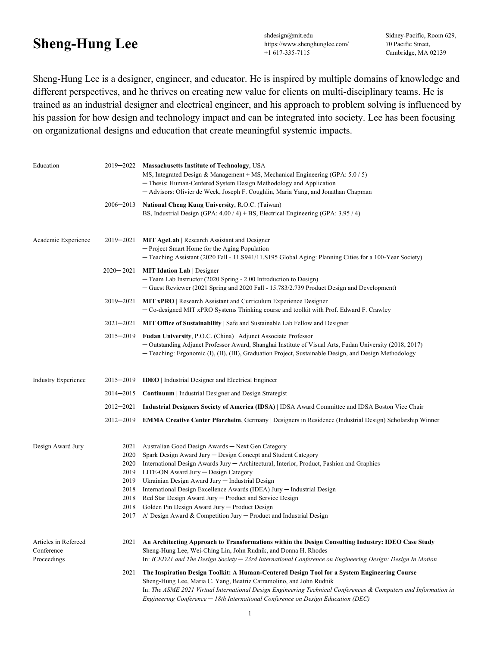## **Sheng-Hung Lee** shdesign@mit.edu

https://www.shenghunglee.com/ +1 617-335-7115

Sidney-Pacific, Room 629, 70 Pacific Street, Cambridge, MA 02139

Sheng-Hung Lee is a designer, engineer, and educator. He is inspired by multiple domains of knowledge and different perspectives, and he thrives on creating new value for clients on multi-disciplinary teams. He is trained as an industrial designer and electrical engineer, and his approach to problem solving is influenced by his passion for how design and technology impact and can be integrated into society. Lee has been focusing on organizational designs and education that create meaningful systemic impacts.

| Education                                         | 2019-2022<br>$2006 - 2013$                                           | <b>Massachusetts Institute of Technology, USA</b><br>MS, Integrated Design & Management + MS, Mechanical Engineering (GPA: $5.0 / 5$ )<br>- Thesis: Human-Centered System Design Methodology and Application<br>- Advisors: Olivier de Weck, Joseph F. Coughlin, Maria Yang, and Jonathan Chapman<br>National Cheng Kung University, R.O.C. (Taiwan)                                                                                                                                                                                                                   |
|---------------------------------------------------|----------------------------------------------------------------------|------------------------------------------------------------------------------------------------------------------------------------------------------------------------------------------------------------------------------------------------------------------------------------------------------------------------------------------------------------------------------------------------------------------------------------------------------------------------------------------------------------------------------------------------------------------------|
|                                                   |                                                                      | BS, Industrial Design (GPA: $4.00 / 4$ ) + BS, Electrical Engineering (GPA: 3.95 / 4)                                                                                                                                                                                                                                                                                                                                                                                                                                                                                  |
| Academic Experience                               | 2019-2021                                                            | MIT AgeLab   Research Assistant and Designer<br>- Project Smart Home for the Aging Population<br>- Teaching Assistant (2020 Fall - 11.S941/11.S195 Global Aging: Planning Cities for a 100-Year Society)                                                                                                                                                                                                                                                                                                                                                               |
|                                                   | $2020 - 2021$                                                        | <b>MIT Idation Lab</b>   Designer<br>- Team Lab Instructor (2020 Spring - 2.00 Introduction to Design)<br>- Guest Reviewer (2021 Spring and 2020 Fall - 15.783/2.739 Product Design and Development)                                                                                                                                                                                                                                                                                                                                                                   |
|                                                   | 2019-2021                                                            | <b>MIT xPRO</b>   Research Assistant and Curriculum Experience Designer<br>- Co-designed MIT xPRO Systems Thinking course and toolkit with Prof. Edward F. Crawley                                                                                                                                                                                                                                                                                                                                                                                                     |
|                                                   | $2021 - 2021$                                                        | <b>MIT Office of Sustainability</b> Safe and Sustainable Lab Fellow and Designer                                                                                                                                                                                                                                                                                                                                                                                                                                                                                       |
|                                                   | $2015 - 2019$                                                        | Fudan University, P.O.C. (China)   Adjunct Associate Professor<br>- Outstanding Adjunct Professor Award, Shanghai Institute of Visual Arts, Fudan University (2018, 2017)<br>- Teaching: Ergonomic (I), (II), (III), Graduation Project, Sustainable Design, and Design Methodology                                                                                                                                                                                                                                                                                    |
| <b>Industry Experience</b>                        | $2015 - 2019$                                                        | <b>IDEO</b>   Industrial Designer and Electrical Engineer                                                                                                                                                                                                                                                                                                                                                                                                                                                                                                              |
|                                                   | $2014 - 2015$                                                        | <b>Continuum</b>   Industrial Designer and Design Strategist                                                                                                                                                                                                                                                                                                                                                                                                                                                                                                           |
|                                                   | $2012 - 2021$                                                        | Industrial Designers Society of America (IDSA)   IDSA Award Committee and IDSA Boston Vice Chair                                                                                                                                                                                                                                                                                                                                                                                                                                                                       |
|                                                   | $2012 - 2019$                                                        | <b>EMMA Creative Center Pforzheim, Germany   Designers in Residence (Industrial Design) Scholarship Winner</b>                                                                                                                                                                                                                                                                                                                                                                                                                                                         |
| Design Award Jury                                 | 2021<br>2020<br>2020<br>2019<br>2019<br>2018<br>2018<br>2018<br>2017 | Australian Good Design Awards - Next Gen Category<br>Spark Design Award Jury - Design Concept and Student Category<br>International Design Awards Jury - Architectural, Interior, Product, Fashion and Graphics<br>LITE-ON Award Jury - Design Category<br>Ukrainian Design Award Jury - Industrial Design<br>International Design Excellence Awards (IDEA) Jury - Industrial Design<br>Red Star Design Award Jury - Product and Service Design<br>Golden Pin Design Award Jury - Product Design<br>A' Design Award & Competition Jury - Product and Industrial Design |
| Articles in Refereed<br>Conference<br>Proceedings | 2021                                                                 | An Architecting Approach to Transformations within the Design Consulting Industry: IDEO Case Study<br>Sheng-Hung Lee, Wei-Ching Lin, John Rudnik, and Donna H. Rhodes<br>In: ICED21 and The Design Society - 23rd International Conference on Engineering Design: Design In Motion                                                                                                                                                                                                                                                                                     |
|                                                   | 2021                                                                 | The Inspiration Design Toolkit: A Human-Centered Design Tool for a System Engineering Course<br>Sheng-Hung Lee, Maria C. Yang, Beatriz Carramolino, and John Rudnik<br>In: The ASME 2021 Virtual International Design Engineering Technical Conferences & Computers and Information in<br>Engineering Conference - 18th International Conference on Design Education (DEC)                                                                                                                                                                                             |